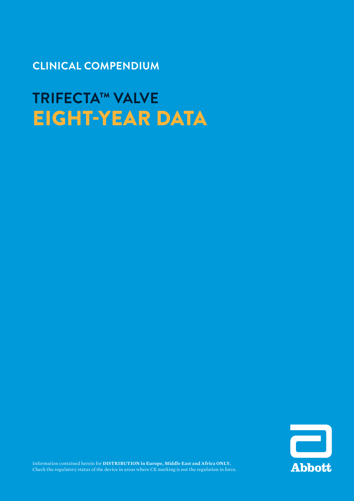**CLINICAL COMPENDIUM**

**TRIFECTA™ VALVE** EIGHT-YEAR DATA

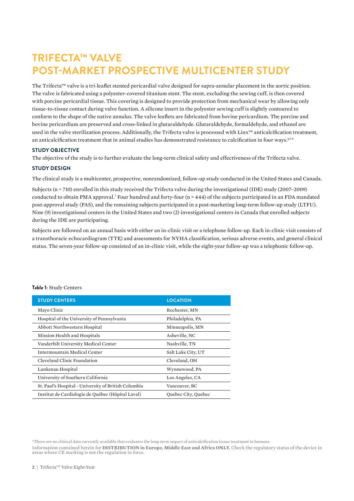## **TRIFECTA™ VALVE POST-MARKET PROSPECTIVE MULTICENTER STUDY**

The Trifecta™ valve is a tri-leaflet stented pericardial valve designed for supra-annular placement in the aortic position. The valve is fabricated using a polyester-covered titanium stent. The stent, excluding the sewing cuff, is then covered with porcine pericardial tissue. This covering is designed to provide protection from mechanical wear by allowing only tissue-to-tissue contact during valve function. A silicone insert in the polyester sewing cuff is slightly contoured to conform to the shape of the native annulus. The valve leaflets are fabricated from bovine pericardium. The porcine and bovine pericardium are preserved and cross-linked in glutaraldehyde. Glutaraldehyde, formaldehyde, and ethanol are used in the valve sterilization process. Additionally, the Trifecta valve is processed with Linx™ anticalcification treatment, an anticalcification treatment that in animal studies has demonstrated resistance to calcification in four ways.\*1-6

#### **STUDY OBJECTIVE**

The objective of the study is to further evaluate the long-term clinical safety and effectiveness of the Trifecta valve.

### **STUDY DESIGN**

The clinical study is a multicenter, prospective, nonrandomized, follow-up study conducted in the United States and Canada.

Subjects (n = 710) enrolled in this study received the Trifecta valve during the investigational (IDE) study (2007–2009) conducted to obtain PMA approval.7 Four hundred and forty-four (n = 444) of the subjects participated in an FDA mandated post-approval study (PAS), and the remaining subjects participated in a post-marketing long-term follow-up study (LTFU). Nine (9) investigational centers in the United States and two (2) investigational centers in Canada that enrolled subjects during the IDE are participating.

Subjects are followed on an annual basis with either an in-clinic visit or a telephone follow-up. Each in-clinic visit consists of a transthoracic echocardiogram (TTE) and assessments for NYHA classification, serious adverse events, and general clinical status. The seven-year follow-up consisted of an in-clinic visit, while the eight-year follow-up was a telephonic follow-up.

| <b>STUDY CENTERS</b>                                 | <b>LOCATION</b>     |  |
|------------------------------------------------------|---------------------|--|
| Mayo Clinic                                          | Rochester, MN       |  |
| Hospital of the University of Pennsylvania           | Philadelphia, PA    |  |
| Abbott Northwestern Hospital                         | Minneapolis, MN     |  |
| Mission Health and Hospitals                         | Asheville, NC       |  |
| Vanderbilt University Medical Center                 | Nashville, TN       |  |
| Intermountain Medical Center                         | Salt Lake City, UT  |  |
| Cleveland Clinic Foundation                          | Cleveland, OH       |  |
| Lankenau Hospital                                    | Wynnewood, PA       |  |
| University of Southern California                    | Los Angeles, CA     |  |
| St. Paul's Hospital - University of British Columbia | Vancouver, BC       |  |
| Institut de Cardiologie de Québec (Hôpital Laval)    | Quebec City, Quebec |  |

#### **Table 1:** Study Centers

\*There are no clinical data currently available that evaluates the long-term impact of anticalcification tissue treatment in humans. Information contained herein for **DISTRIBUTION in Europe, Middle East and Africa ONLY.** Check the regulatory status of the device in areas where CE marking is not the regulation in force.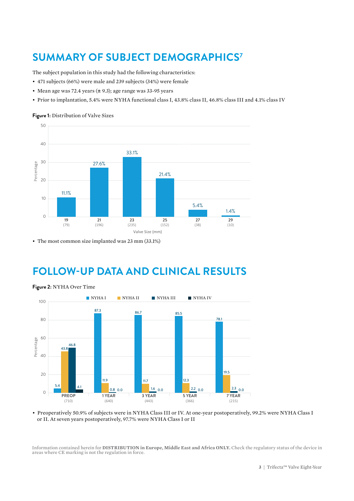# **SUMMARY OF SUBJECT DEMOGRAPHICS7**

The subject population in this study had the following characteristics:

- 471 subjects (66%) were male and 239 subjects (34%) were female
- Mean age was 72.4 years  $(\pm 9.3)$ ; age range was 33-95 years
- Prior to implantation, 5.4% were NYHA functional class I, 43.8% class II, 46.8% class III and 4.1% class IV

### **Figure 1:** Distribution of Valve Sizes



• The most common size implanted was 23 mm (33.1%)

## **FOLLOW-UP DATA AND CLINICAL RESULTS**



**Figure 2:** NYHA Over Time

• Preoperatively 50.9% of subjects were in NYHA Class III or IV. At one-year postoperatively, 99.2% were NYHA Class I or II. At seven years postoperatively, 97.7% were NYHA Class I or II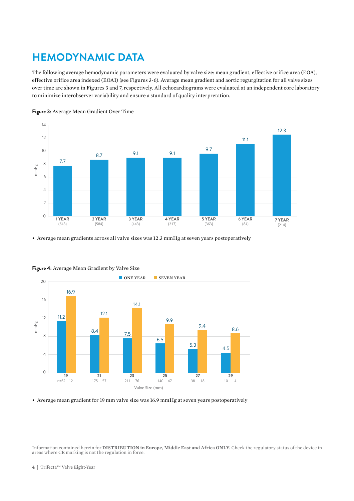# **HEMODYNAMIC DATA**

The following average hemodynamic parameters were evaluated by valve size: mean gradient, effective orifice area (EOA), effective orifice area indexed (EOAI) (see Figures 3-6). Average mean gradient and aortic regurgitation for all valve sizes over time are shown in Figures 3 and 7, respectively. All echocardiograms were evaluated at an independent core laboratory to minimize interobserver variability and ensure a standard of quality interpretation.





• Average mean gradients across all valve sizes was 12.3 mmHg at seven years postoperatively



**Figure 4:** Average Mean Gradient by Valve Size

• Average mean gradient for 19 mm valve size was 16.9 mmHg at seven years postoperatively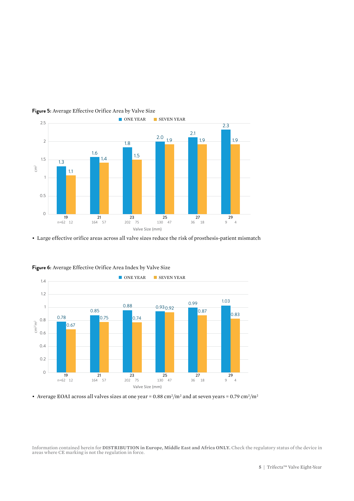



• Large effective orifice areas across all valve sizes reduce the risk of prosthesis-patient mismatch



**Figure 6:** Average Effective Orifice Area Index by Valve Size

• Average EOAI across all valves sizes at one year = 0.88 cm<sup>2</sup>/m<sup>2</sup> and at seven years = 0.79 cm<sup>2</sup>/m<sup>2</sup>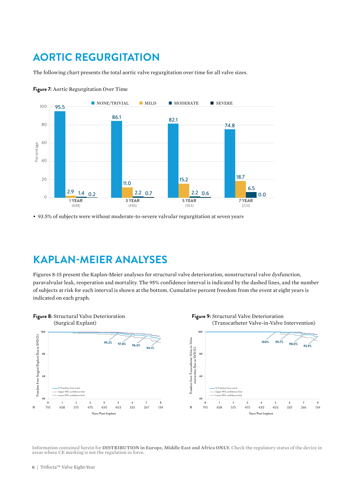## **AORTIC REGURGITATION**

The following chart presents the total aortic valve regurgitation over time for all valve sizes.



**Figure 7:** Aortic Regurgitation Over Time

• 93.5% of subjects were without moderate-to-severe valvular regurgitation at seven years

### **KAPLAN-MEIER ANALYSES**

Figures 8-15 present the Kaplan-Meier analyses for structural valve deterioration, nonstructural valve dysfunction, paravalvular leak, reoperation and mortality. The 95% confidence interval is indicated by the dashed lines, and the number of subjects at risk for each interval is shown at the bottom. Cumulative percent freedom from the event at eight years is indicated on each graph.

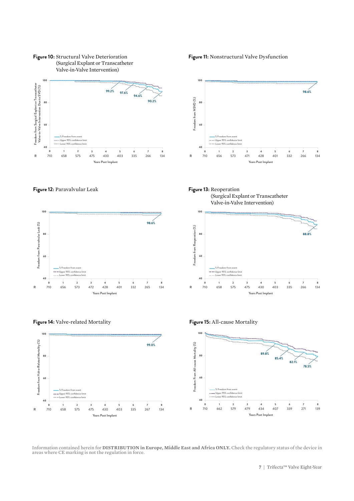

**Figure 11:** Nonstructural Valve Dysfunction





**Figure 12:** Paravalvular Leak **Figure 13:** Reoperation



(Surgical Explant or Transcatheter Valve-in-Valve Intervention)





**Figure 14:** Valve-related Mortality

Information contained herein for **DISTRIBUTION in Europe, Middle East and Africa ONLY.** Check the regulatory status of the device in areas where CE marking is not the regulation in force.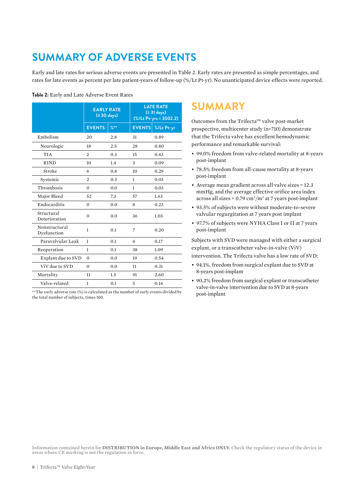# **SUMMARY OF ADVERSE EVENTS**

Early and late rates for serious adverse events are presented in Table 2. Early rates are presented as simple percentages, and rates for late events as percent per late patient-years of follow-up (%/Lt Pt-yr). No unanticipated device effects were reported.

|                              | <b>EARLY RATE</b><br>(≤ 30 days) |                  | <b>LATE RATE</b><br>(≥ 31 days)<br>(%/Lt Pt-yrs = 3502.2) |            |
|------------------------------|----------------------------------|------------------|-----------------------------------------------------------|------------|
|                              | <b>EVENTS</b>                    | $\frac{9}{6}$ ** | <b>EVENTS</b>                                             | %/Lt Pt-yr |
| Embolism                     | 20                               | 2.8              | 31                                                        | 0.89       |
| Neurologic                   | 18                               | 2.5              | 28                                                        | 0.80       |
| <b>TIA</b>                   | $\overline{2}$                   | 0.3              | 15                                                        | 0.43       |
| <b>RIND</b>                  | 10                               | 1.4              | 3                                                         | 0.09       |
| Stroke                       | 6                                | 0.8              | 10                                                        | 0.29       |
| Systemic                     | $\overline{2}$                   | 0.3              | 1                                                         | 0.03       |
| Thrombosis                   | 0                                | 0.0              | 1                                                         | 0.03       |
| Major Bleed                  | 52                               | 7.3              | 57                                                        | 1.63       |
| Endocarditis                 | 0                                | 0.0              | 8                                                         | 0.23       |
| Structural<br>Deterioration  | $\overline{0}$                   | 0.0              | 36                                                        | 1.03       |
| Nonstructural<br>Dysfunction | 1                                | 0.1              | 7                                                         | 0.20       |
| Parayalyular Leak            | $\mathbf{1}$                     | 0.1              | 6                                                         | 0.17       |
| Reoperation                  | 1                                | 0.1              | 38                                                        | 1.09       |
| Explant due to SVD           | $\Omega$                         | 0.0              | 19                                                        | 0.54       |
| ViV due to SVD               | $\Omega$                         | 0.0              | 11                                                        | 0.31       |
| Mortality                    | 11                               | 1.5              | 91                                                        | 2.60       |
| Valve-related                | 1                                | 0.1              | 5                                                         | 0.14       |

**Table 2:** Early and Late Adverse Event Rates

#### \*\*The early adverse rate (%) is calculated as the number of early events divided by post-implant the total number of subjects, times 100.

### **SUMMARY**

Outcomes from the Trifecta™ valve post-market prospective, multicenter study (n=710) demonstrate that the Trifecta valve has excellent hemodynamic performance and remarkable survival:

- 99.0% freedom from valve-related mortality at 8-years post-implant
- 78.5% freedom from all-cause mortality at 8-years post-implant
- Average mean gradient across all valve sizes = 12.3 mmHg, and the average effective orifice area index across all sizes =  $0.79 \text{ cm}^2/\text{m}^2$  at 7 years post-implant
- 93.5% of subjects were without moderate-to-severe valvular regurgitation at 7 years post implant
- 97.7% of subjects were NYHA Class I or II at 7 years post-implant

Subjects with SVD were managed with either a surgical explant, or a transcatheter valve-in-valve (ViV) intervention. The Trifecta valve has a low rate of SVD:

- 94.1%. freedom from surgical explant due to SVD at 8-years post-implant
- 90.2% freedom from surgical explant or transcatheter valve-in-valve intervention due to SVD at 8-years